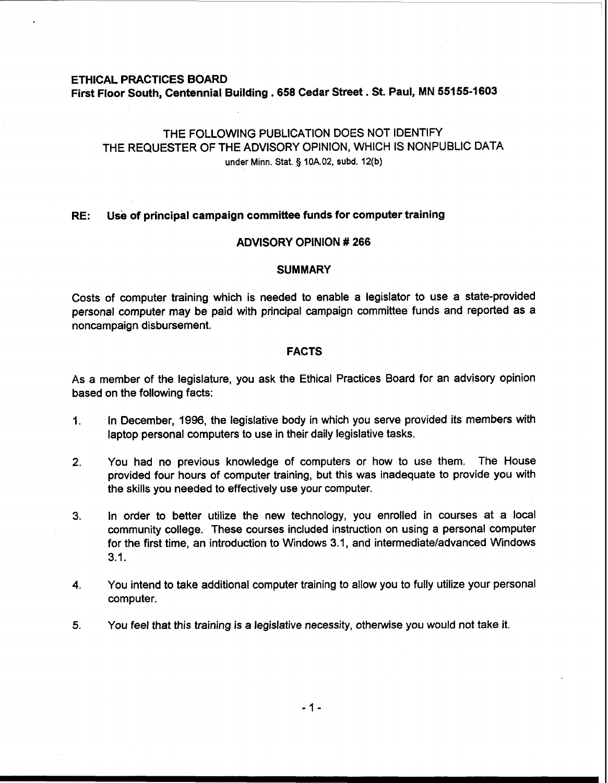## **ETHICAL PRACTICES BOARD**

**First Floor South, Centennial Building .658 Cedar Street** . **St. Paul, MN 551 55-1603** 

# THE FOLLOWING PUBLICATION DOES NOT IDENTIFY THE REQUESTER OF THE ADVISORY OPINION, WHICH IS NONPUBLIC DATA under Minn. Stat. § **10A.02, subd. 12(b)**

## **RE: Use of principal campaign committee funds for computer training**

# **ADVISORY OPINION** # **266**

# **SUMMARY**

Costs of computer training which is needed to enable a legislator to use a state-provided personal computer may be paid with principal campaign committee funds and reported as a noncampaign disbursement.

# **FACTS**

As a member of the legislature, you ask the Ethical Practices Board for an advisory opinion based on the following facts:

- **1.** In December, 1996, the legislative body in which you serve provided its members with laptop personal computers to use in their daily legislative tasks.
- **2.** You had no previous knowledge of computers or how to use them. The House provided four hours of computer training, but this was inadequate to provide you with the skills you needed to effectively use your computer.
- 3. In order to better utilize the new technology, you enrolled in courses at a local community college. These courses included instruction on using a personal computer for the first time, an introduction to Windows 3.1, and intermediateladvanced Windows 3.1.
- **4.** You intend to take additional computer training to allow you to fully utilize your personal computer.
- **5.** You feel that this training is a legislative necessity, otherwise you would not take it.

 $-1-$